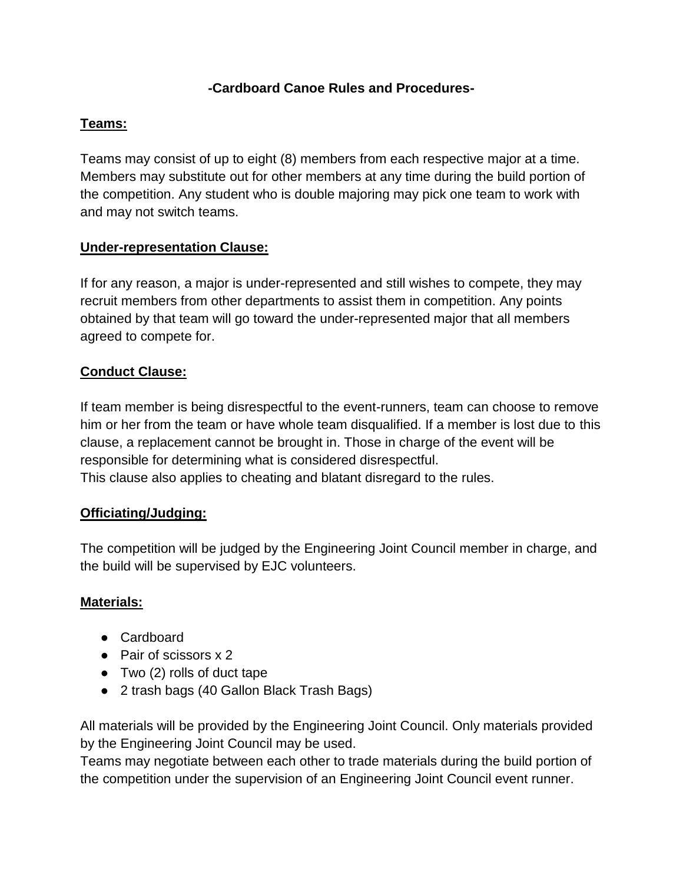# **-Cardboard Canoe Rules and Procedures-**

### **Teams:**

Teams may consist of up to eight (8) members from each respective major at a time. Members may substitute out for other members at any time during the build portion of the competition. Any student who is double majoring may pick one team to work with and may not switch teams.

### **Under-representation Clause:**

If for any reason, a major is under-represented and still wishes to compete, they may recruit members from other departments to assist them in competition. Any points obtained by that team will go toward the under-represented major that all members agreed to compete for.

# **Conduct Clause:**

If team member is being disrespectful to the event-runners, team can choose to remove him or her from the team or have whole team disqualified. If a member is lost due to this clause, a replacement cannot be brought in. Those in charge of the event will be responsible for determining what is considered disrespectful. This clause also applies to cheating and blatant disregard to the rules.

### **Officiating/Judging:**

The competition will be judged by the Engineering Joint Council member in charge, and the build will be supervised by EJC volunteers.

### **Materials:**

- Cardboard
- Pair of scissors x 2
- $\bullet$  Two (2) rolls of duct tape
- 2 trash bags (40 Gallon Black Trash Bags)

All materials will be provided by the Engineering Joint Council. Only materials provided by the Engineering Joint Council may be used.

Teams may negotiate between each other to trade materials during the build portion of the competition under the supervision of an Engineering Joint Council event runner.